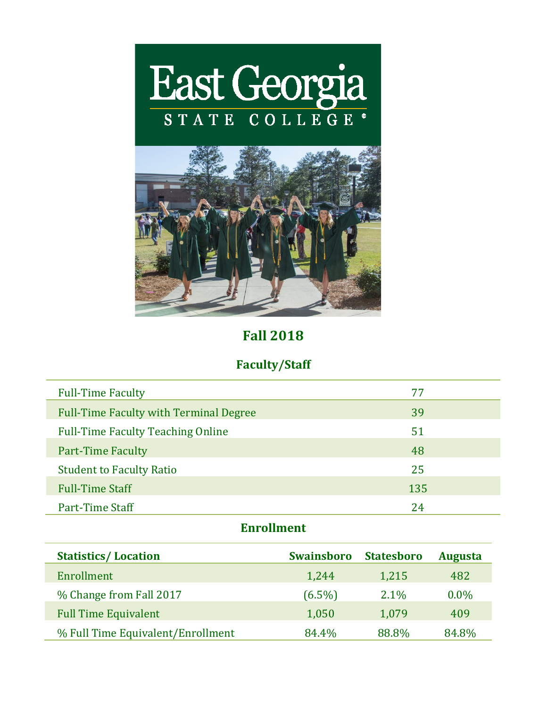



# **Fall 2018**

## **Faculty/Staff**

| <b>Full-Time Faculty</b>                      | 77  |
|-----------------------------------------------|-----|
| <b>Full-Time Faculty with Terminal Degree</b> | 39  |
| <b>Full-Time Faculty Teaching Online</b>      | 51  |
| <b>Part-Time Faculty</b>                      | 48  |
| <b>Student to Faculty Ratio</b>               | 25  |
| <b>Full-Time Staff</b>                        | 135 |
| Part-Time Staff                               | 24  |

### **Enrollment**

| <b>Statistics/Location</b>        | <b>Swainsboro</b> | <b>Statesboro</b> | <b>Augusta</b> |
|-----------------------------------|-------------------|-------------------|----------------|
| Enrollment                        | 1,244             | 1,215             | 482            |
| % Change from Fall 2017           | $(6.5\%)$         | 2.1%              | $0.0\%$        |
| <b>Full Time Equivalent</b>       | 1,050             | 1,079             | 409            |
| % Full Time Equivalent/Enrollment | 84.4%             | 88.8%             | 84.8%          |